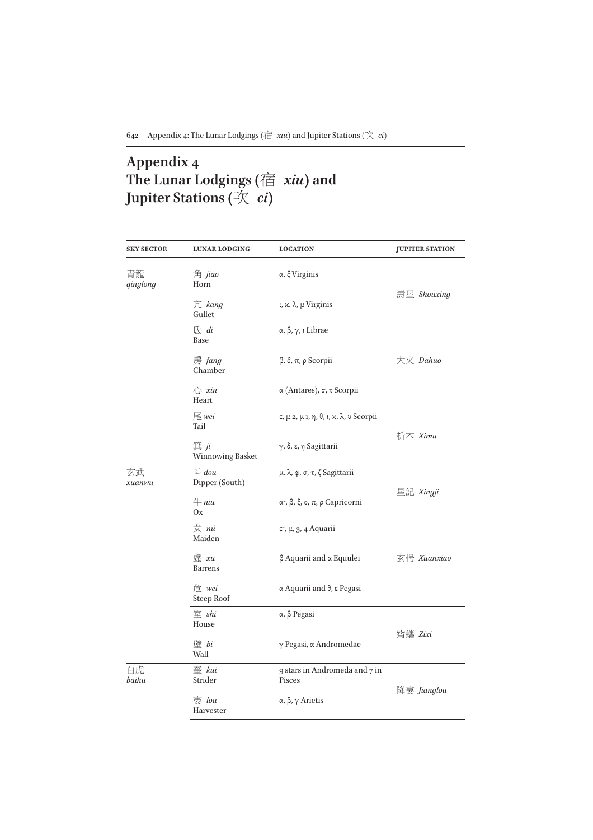## **Appendix 4**  $\overrightarrow{\text{The} \text{ Lunar} }$  Lodgings (宿 *xiu*) and **Jupiter Stations (次** *ci***)**

| <b>SKY SECTOR</b> | <b>LUNAR LODGING</b>                        | <b>LOCATION</b>                           | <b>JUPITER STATION</b> |
|-------------------|---------------------------------------------|-------------------------------------------|------------------------|
| 青龍<br>qinglong    | 角 jiao<br>Horn                              | α, ξ Virginis                             |                        |
|                   | 亢 kang<br>Gullet                            | ι, κ. λ, μ Virginis                       | 壽星 Shouxing            |
|                   | 氏 di<br>Base                                | α, β, γ, ι Librae                         |                        |
|                   | 房 fang<br>Chamber                           | $β$ , δ, π, ρ Scorpii                     | 大火 Dahuo               |
|                   | 心 $\sin$<br>Heart                           | α (Antares), σ, τ Scorpii                 |                        |
|                   | 尾 wei<br>Tail                               | ε, μ 2, μ 1, η, θ, ι, κ, λ, υ Scorpii     | 析木 Ximu                |
|                   | 箕 ji<br><b>Winnowing Basket</b>             | $γ$ , δ, ε, η Sagittarii                  |                        |
| 玄武<br>xuanwu      | $\triangle\downarrow$ dou<br>Dipper (South) | $\mu$ , λ, φ, σ, τ, ζ Sagittarii          |                        |
|                   | $\Leftrightarrow$ niu<br><b>Ox</b>          | α <sup>2</sup> , β, ξ, ο, π, ρ Capricorni | 星記 Xingji              |
|                   | 女 nü<br>Maiden                              | $ε2$ , μ, 3, 4 Aquarii                    |                        |
|                   | 虛 xu<br><b>Barrens</b>                      | $\beta$ Aquarii and $\alpha$ Equulei      | 玄枵 Xuanxiao            |
|                   | 危 wei<br><b>Steep Roof</b>                  | α Aquarii and $θ$ , ε Pegasi              |                        |
|                   | 室 shi<br>House                              | α, β Pegasi                               |                        |
|                   | 壁 bi<br>Wall                                | γ Pegasi, α Andromedae                    | 觜蠵 Zixi                |
| 白虎<br>baihu       | 奎 kui<br>Strider                            | 9 stars in Andromeda and 7 in<br>Pisces   |                        |
|                   | 婁 lou<br>Harvester                          | α, β, γ Arietis                           | 降婁 Jianglou            |